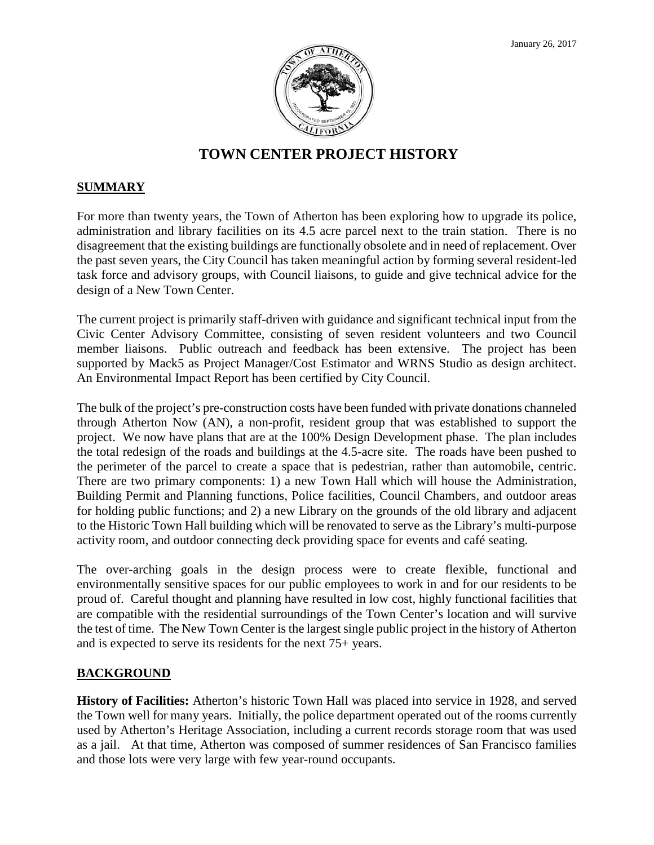

# **TOWN CENTER PROJECT HISTORY**

## **SUMMARY**

For more than twenty years, the Town of Atherton has been exploring how to upgrade its police, administration and library facilities on its 4.5 acre parcel next to the train station. There is no disagreement that the existing buildings are functionally obsolete and in need of replacement. Over the past seven years, the City Council has taken meaningful action by forming several resident-led task force and advisory groups, with Council liaisons, to guide and give technical advice for the design of a New Town Center.

The current project is primarily staff-driven with guidance and significant technical input from the Civic Center Advisory Committee, consisting of seven resident volunteers and two Council member liaisons. Public outreach and feedback has been extensive. The project has been supported by Mack5 as Project Manager/Cost Estimator and WRNS Studio as design architect. An Environmental Impact Report has been certified by City Council.

The bulk of the project's pre-construction costs have been funded with private donations channeled through Atherton Now (AN), a non-profit, resident group that was established to support the project. We now have plans that are at the 100% Design Development phase. The plan includes the total redesign of the roads and buildings at the 4.5-acre site. The roads have been pushed to the perimeter of the parcel to create a space that is pedestrian, rather than automobile, centric. There are two primary components: 1) a new Town Hall which will house the Administration, Building Permit and Planning functions, Police facilities, Council Chambers, and outdoor areas for holding public functions; and 2) a new Library on the grounds of the old library and adjacent to the Historic Town Hall building which will be renovated to serve as the Library's multi-purpose activity room, and outdoor connecting deck providing space for events and café seating.

The over-arching goals in the design process were to create flexible, functional and environmentally sensitive spaces for our public employees to work in and for our residents to be proud of. Careful thought and planning have resulted in low cost, highly functional facilities that are compatible with the residential surroundings of the Town Center's location and will survive the test of time. The New Town Center is the largest single public project in the history of Atherton and is expected to serve its residents for the next 75+ years.

# **BACKGROUND**

**History of Facilities:** Atherton's historic Town Hall was placed into service in 1928, and served the Town well for many years. Initially, the police department operated out of the rooms currently used by Atherton's Heritage Association, including a current records storage room that was used as a jail. At that time, Atherton was composed of summer residences of San Francisco families and those lots were very large with few year-round occupants.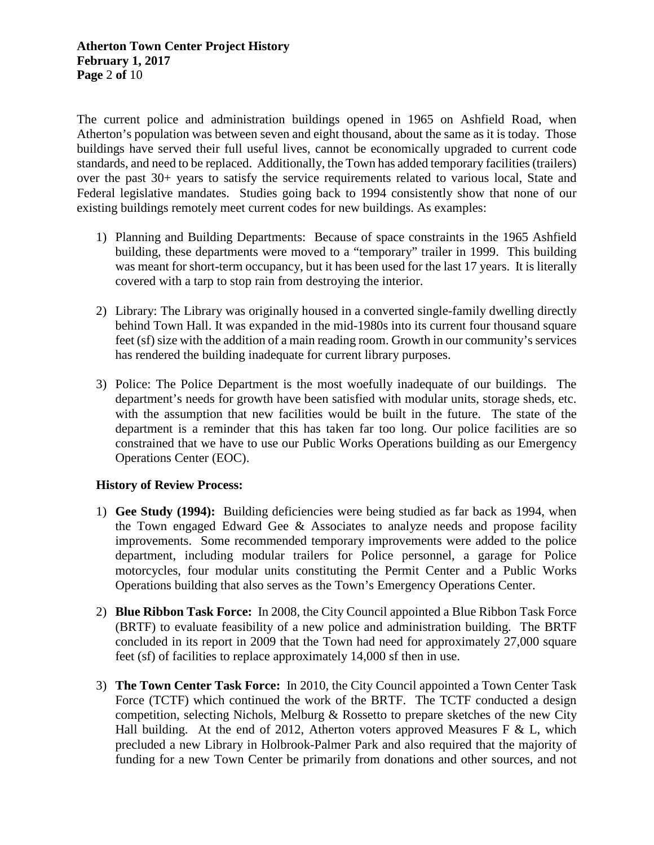The current police and administration buildings opened in 1965 on Ashfield Road, when Atherton's population was between seven and eight thousand, about the same as it is today. Those buildings have served their full useful lives, cannot be economically upgraded to current code standards, and need to be replaced. Additionally, the Town has added temporary facilities (trailers) over the past 30+ years to satisfy the service requirements related to various local, State and Federal legislative mandates. Studies going back to 1994 consistently show that none of our existing buildings remotely meet current codes for new buildings. As examples:

- 1) Planning and Building Departments: Because of space constraints in the 1965 Ashfield building, these departments were moved to a "temporary" trailer in 1999. This building was meant for short-term occupancy, but it has been used for the last 17 years. It is literally covered with a tarp to stop rain from destroying the interior.
- 2) Library: The Library was originally housed in a converted single-family dwelling directly behind Town Hall. It was expanded in the mid-1980s into its current four thousand square feet (sf) size with the addition of a main reading room. Growth in our community's services has rendered the building inadequate for current library purposes.
- 3) Police: The Police Department is the most woefully inadequate of our buildings. The department's needs for growth have been satisfied with modular units, storage sheds, etc. with the assumption that new facilities would be built in the future. The state of the department is a reminder that this has taken far too long. Our police facilities are so constrained that we have to use our Public Works Operations building as our Emergency Operations Center (EOC).

# **History of Review Process:**

- 1) **Gee Study (1994):** Building deficiencies were being studied as far back as 1994, when the Town engaged Edward Gee & Associates to analyze needs and propose facility improvements. Some recommended temporary improvements were added to the police department, including modular trailers for Police personnel, a garage for Police motorcycles, four modular units constituting the Permit Center and a Public Works Operations building that also serves as the Town's Emergency Operations Center.
- 2) **Blue Ribbon Task Force:** In 2008, the City Council appointed a Blue Ribbon Task Force (BRTF) to evaluate feasibility of a new police and administration building. The BRTF concluded in its report in 2009 that the Town had need for approximately 27,000 square feet (sf) of facilities to replace approximately 14,000 sf then in use.
- 3) **The Town Center Task Force:** In 2010, the City Council appointed a Town Center Task Force (TCTF) which continued the work of the BRTF. The TCTF conducted a design competition, selecting Nichols, Melburg  $\&$  Rossetto to prepare sketches of the new City Hall building. At the end of 2012, Atherton voters approved Measures F & L, which precluded a new Library in Holbrook-Palmer Park and also required that the majority of funding for a new Town Center be primarily from donations and other sources, and not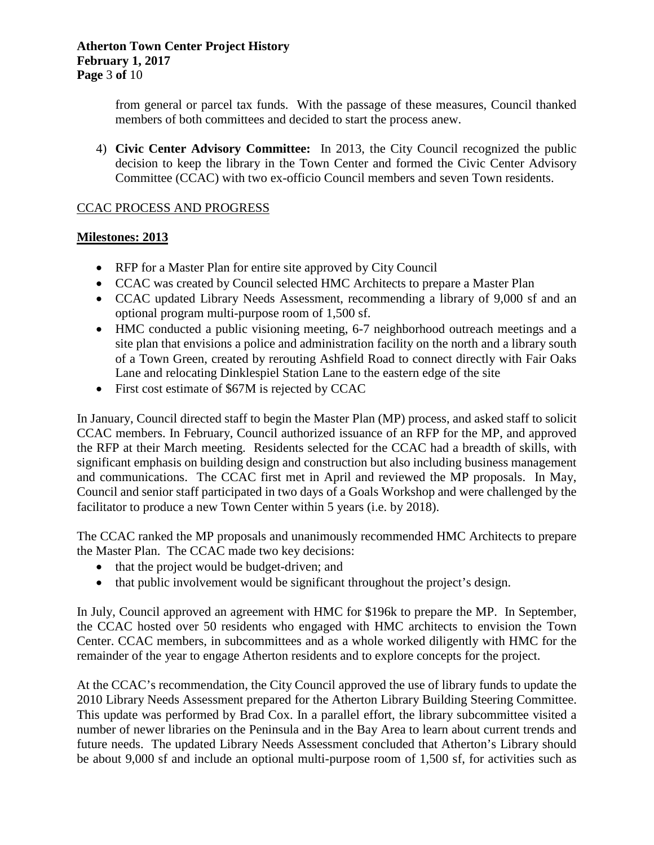from general or parcel tax funds. With the passage of these measures, Council thanked members of both committees and decided to start the process anew.

4) **Civic Center Advisory Committee:** In 2013, the City Council recognized the public decision to keep the library in the Town Center and formed the Civic Center Advisory Committee (CCAC) with two ex-officio Council members and seven Town residents.

## CCAC PROCESS AND PROGRESS

## **Milestones: 2013**

- RFP for a Master Plan for entire site approved by City Council
- CCAC was created by Council selected HMC Architects to prepare a Master Plan
- CCAC updated Library Needs Assessment, recommending a library of 9,000 sf and an optional program multi-purpose room of 1,500 sf.
- HMC conducted a public visioning meeting, 6-7 neighborhood outreach meetings and a site plan that envisions a police and administration facility on the north and a library south of a Town Green, created by rerouting Ashfield Road to connect directly with Fair Oaks Lane and relocating Dinklespiel Station Lane to the eastern edge of the site
- First cost estimate of \$67M is rejected by CCAC

In January, Council directed staff to begin the Master Plan (MP) process, and asked staff to solicit CCAC members. In February, Council authorized issuance of an RFP for the MP, and approved the RFP at their March meeting. Residents selected for the CCAC had a breadth of skills, with significant emphasis on building design and construction but also including business management and communications. The CCAC first met in April and reviewed the MP proposals. In May, Council and senior staff participated in two days of a Goals Workshop and were challenged by the facilitator to produce a new Town Center within 5 years (i.e. by 2018).

The CCAC ranked the MP proposals and unanimously recommended HMC Architects to prepare the Master Plan. The CCAC made two key decisions:

- that the project would be budget-driven; and
- that public involvement would be significant throughout the project's design.

In July, Council approved an agreement with HMC for \$196k to prepare the MP. In September, the CCAC hosted over 50 residents who engaged with HMC architects to envision the Town Center. CCAC members, in subcommittees and as a whole worked diligently with HMC for the remainder of the year to engage Atherton residents and to explore concepts for the project.

At the CCAC's recommendation, the City Council approved the use of library funds to update the 2010 Library Needs Assessment prepared for the Atherton Library Building Steering Committee. This update was performed by Brad Cox. In a parallel effort, the library subcommittee visited a number of newer libraries on the Peninsula and in the Bay Area to learn about current trends and future needs. The updated Library Needs Assessment concluded that Atherton's Library should be about 9,000 sf and include an optional multi-purpose room of 1,500 sf, for activities such as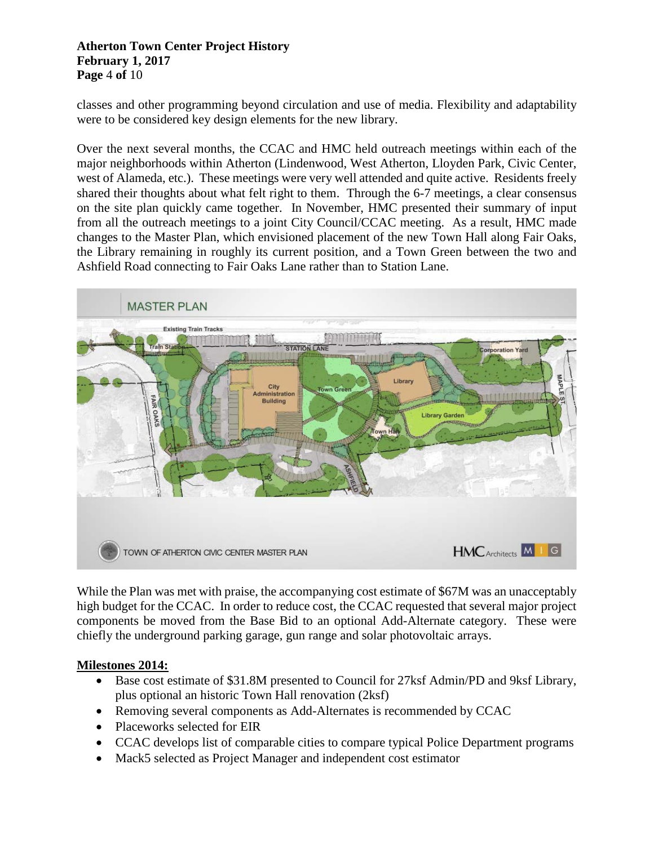#### **Atherton Town Center Project History February 1, 2017 Page** 4 **of** 10

classes and other programming beyond circulation and use of media. Flexibility and adaptability were to be considered key design elements for the new library.

Over the next several months, the CCAC and HMC held outreach meetings within each of the major neighborhoods within Atherton (Lindenwood, West Atherton, Lloyden Park, Civic Center, west of Alameda, etc.). These meetings were very well attended and quite active. Residents freely shared their thoughts about what felt right to them. Through the 6-7 meetings, a clear consensus on the site plan quickly came together. In November, HMC presented their summary of input from all the outreach meetings to a joint City Council/CCAC meeting. As a result, HMC made changes to the Master Plan, which envisioned placement of the new Town Hall along Fair Oaks, the Library remaining in roughly its current position, and a Town Green between the two and Ashfield Road connecting to Fair Oaks Lane rather than to Station Lane.



While the Plan was met with praise, the accompanying cost estimate of \$67M was an unacceptably high budget for the CCAC. In order to reduce cost, the CCAC requested that several major project components be moved from the Base Bid to an optional Add-Alternate category. These were chiefly the underground parking garage, gun range and solar photovoltaic arrays.

# **Milestones 2014:**

- Base cost estimate of \$31.8M presented to Council for 27ksf Admin/PD and 9ksf Library, plus optional an historic Town Hall renovation (2ksf)
- Removing several components as Add-Alternates is recommended by CCAC
- Placeworks selected for EIR
- CCAC develops list of comparable cities to compare typical Police Department programs
- Mack5 selected as Project Manager and independent cost estimator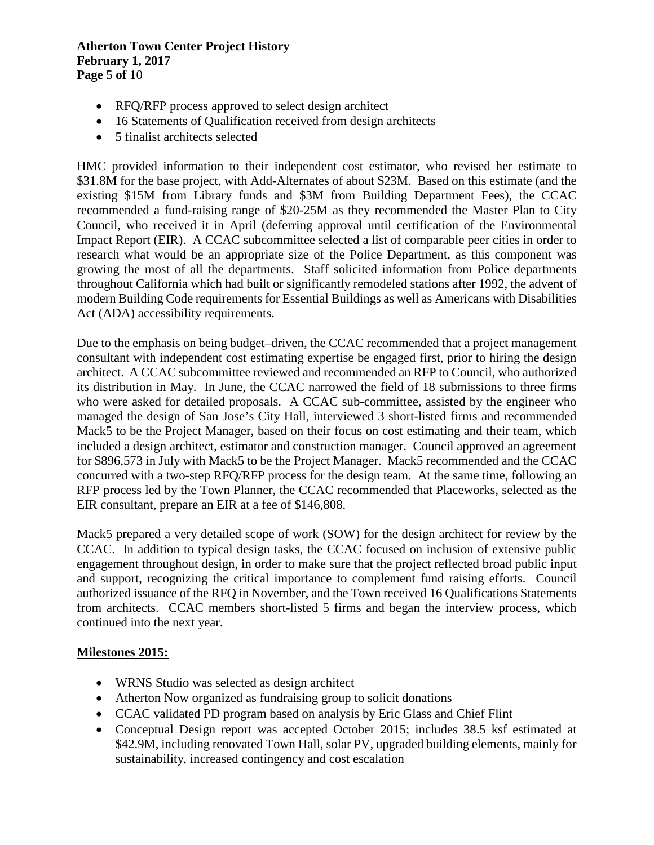#### **Atherton Town Center Project History February 1, 2017 Page** 5 **of** 10

- RFQ/RFP process approved to select design architect
- 16 Statements of Qualification received from design architects
- 5 finalist architects selected

HMC provided information to their independent cost estimator, who revised her estimate to \$31.8M for the base project, with Add-Alternates of about \$23M. Based on this estimate (and the existing \$15M from Library funds and \$3M from Building Department Fees), the CCAC recommended a fund-raising range of \$20-25M as they recommended the Master Plan to City Council, who received it in April (deferring approval until certification of the Environmental Impact Report (EIR). A CCAC subcommittee selected a list of comparable peer cities in order to research what would be an appropriate size of the Police Department, as this component was growing the most of all the departments. Staff solicited information from Police departments throughout California which had built or significantly remodeled stations after 1992, the advent of modern Building Code requirements for Essential Buildings as well as Americans with Disabilities Act (ADA) accessibility requirements.

Due to the emphasis on being budget–driven, the CCAC recommended that a project management consultant with independent cost estimating expertise be engaged first, prior to hiring the design architect. A CCAC subcommittee reviewed and recommended an RFP to Council, who authorized its distribution in May. In June, the CCAC narrowed the field of 18 submissions to three firms who were asked for detailed proposals. A CCAC sub-committee, assisted by the engineer who managed the design of San Jose's City Hall, interviewed 3 short-listed firms and recommended Mack5 to be the Project Manager, based on their focus on cost estimating and their team, which included a design architect, estimator and construction manager. Council approved an agreement for \$896,573 in July with Mack5 to be the Project Manager. Mack5 recommended and the CCAC concurred with a two-step RFQ/RFP process for the design team. At the same time, following an RFP process led by the Town Planner, the CCAC recommended that Placeworks, selected as the EIR consultant, prepare an EIR at a fee of \$146,808.

Mack5 prepared a very detailed scope of work (SOW) for the design architect for review by the CCAC. In addition to typical design tasks, the CCAC focused on inclusion of extensive public engagement throughout design, in order to make sure that the project reflected broad public input and support, recognizing the critical importance to complement fund raising efforts. Council authorized issuance of the RFQ in November, and the Town received 16 Qualifications Statements from architects. CCAC members short-listed 5 firms and began the interview process, which continued into the next year.

# **Milestones 2015:**

- WRNS Studio was selected as design architect
- Atherton Now organized as fundraising group to solicit donations
- CCAC validated PD program based on analysis by Eric Glass and Chief Flint
- Conceptual Design report was accepted October 2015; includes 38.5 ksf estimated at \$42.9M, including renovated Town Hall, solar PV, upgraded building elements, mainly for sustainability, increased contingency and cost escalation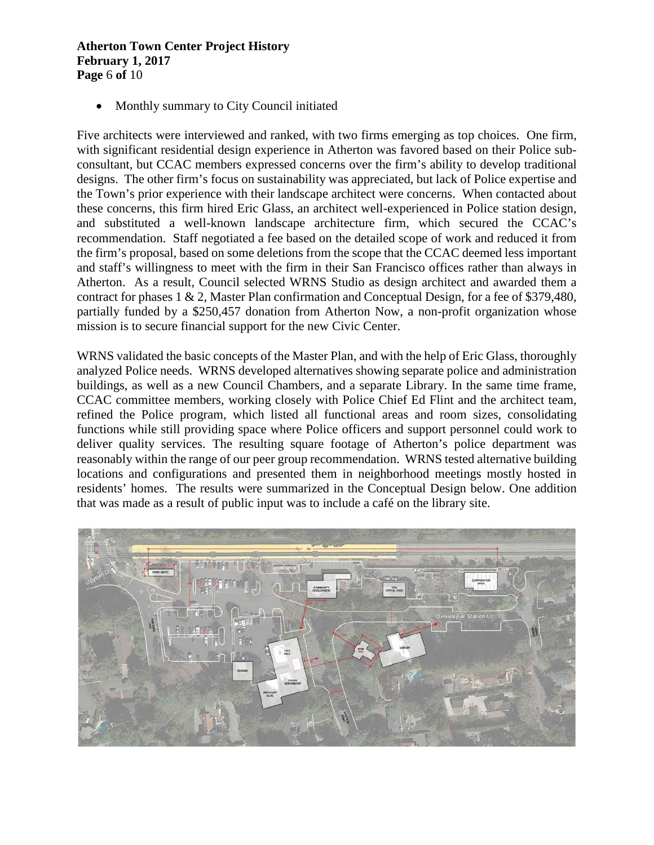#### **Atherton Town Center Project History February 1, 2017 Page** 6 **of** 10

• Monthly summary to City Council initiated

Five architects were interviewed and ranked, with two firms emerging as top choices. One firm, with significant residential design experience in Atherton was favored based on their Police subconsultant, but CCAC members expressed concerns over the firm's ability to develop traditional designs. The other firm's focus on sustainability was appreciated, but lack of Police expertise and the Town's prior experience with their landscape architect were concerns. When contacted about these concerns, this firm hired Eric Glass, an architect well-experienced in Police station design, and substituted a well-known landscape architecture firm, which secured the CCAC's recommendation. Staff negotiated a fee based on the detailed scope of work and reduced it from the firm's proposal, based on some deletions from the scope that the CCAC deemed less important and staff's willingness to meet with the firm in their San Francisco offices rather than always in Atherton. As a result, Council selected WRNS Studio as design architect and awarded them a contract for phases 1 & 2, Master Plan confirmation and Conceptual Design, for a fee of \$379,480, partially funded by a \$250,457 donation from Atherton Now, a non-profit organization whose mission is to secure financial support for the new Civic Center.

WRNS validated the basic concepts of the Master Plan, and with the help of Eric Glass, thoroughly analyzed Police needs. WRNS developed alternatives showing separate police and administration buildings, as well as a new Council Chambers, and a separate Library. In the same time frame, CCAC committee members, working closely with Police Chief Ed Flint and the architect team, refined the Police program, which listed all functional areas and room sizes, consolidating functions while still providing space where Police officers and support personnel could work to deliver quality services. The resulting square footage of Atherton's police department was reasonably within the range of our peer group recommendation. WRNS tested alternative building locations and configurations and presented them in neighborhood meetings mostly hosted in residents' homes. The results were summarized in the Conceptual Design below. One addition that was made as a result of public input was to include a café on the library site.

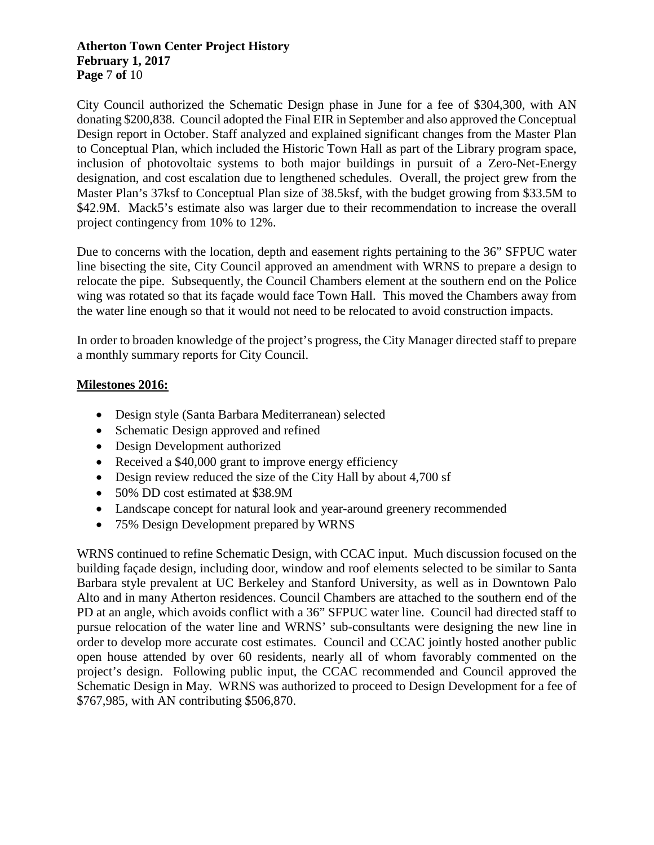#### **Atherton Town Center Project History February 1, 2017 Page** 7 **of** 10

City Council authorized the Schematic Design phase in June for a fee of \$304,300, with AN donating \$200,838. Council adopted the Final EIR in September and also approved the Conceptual Design report in October. Staff analyzed and explained significant changes from the Master Plan to Conceptual Plan, which included the Historic Town Hall as part of the Library program space, inclusion of photovoltaic systems to both major buildings in pursuit of a Zero-Net-Energy designation, and cost escalation due to lengthened schedules. Overall, the project grew from the Master Plan's 37ksf to Conceptual Plan size of 38.5ksf, with the budget growing from \$33.5M to \$42.9M. Mack5's estimate also was larger due to their recommendation to increase the overall project contingency from 10% to 12%.

Due to concerns with the location, depth and easement rights pertaining to the 36" SFPUC water line bisecting the site, City Council approved an amendment with WRNS to prepare a design to relocate the pipe. Subsequently, the Council Chambers element at the southern end on the Police wing was rotated so that its façade would face Town Hall. This moved the Chambers away from the water line enough so that it would not need to be relocated to avoid construction impacts.

In order to broaden knowledge of the project's progress, the City Manager directed staff to prepare a monthly summary reports for City Council.

## **Milestones 2016:**

- Design style (Santa Barbara Mediterranean) selected
- Schematic Design approved and refined
- Design Development authorized
- Received a \$40,000 grant to improve energy efficiency
- Design review reduced the size of the City Hall by about 4,700 sf
- 50% DD cost estimated at \$38.9M
- Landscape concept for natural look and year-around greenery recommended
- 75% Design Development prepared by WRNS

WRNS continued to refine Schematic Design, with CCAC input. Much discussion focused on the building façade design, including door, window and roof elements selected to be similar to Santa Barbara style prevalent at UC Berkeley and Stanford University, as well as in Downtown Palo Alto and in many Atherton residences. Council Chambers are attached to the southern end of the PD at an angle, which avoids conflict with a 36" SFPUC water line. Council had directed staff to pursue relocation of the water line and WRNS' sub-consultants were designing the new line in order to develop more accurate cost estimates. Council and CCAC jointly hosted another public open house attended by over 60 residents, nearly all of whom favorably commented on the project's design. Following public input, the CCAC recommended and Council approved the Schematic Design in May. WRNS was authorized to proceed to Design Development for a fee of \$767,985, with AN contributing \$506,870.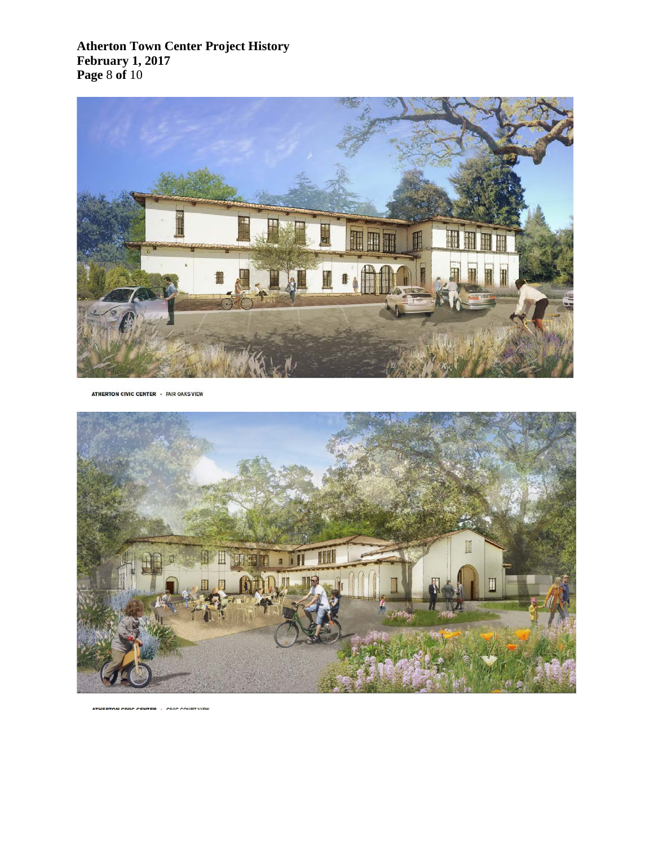**Atherton Town Center Project History February 1, 2017 Page** 8 **of** 10



ATHERTON CIVIC CENTER · FAIR OAKS VIEW

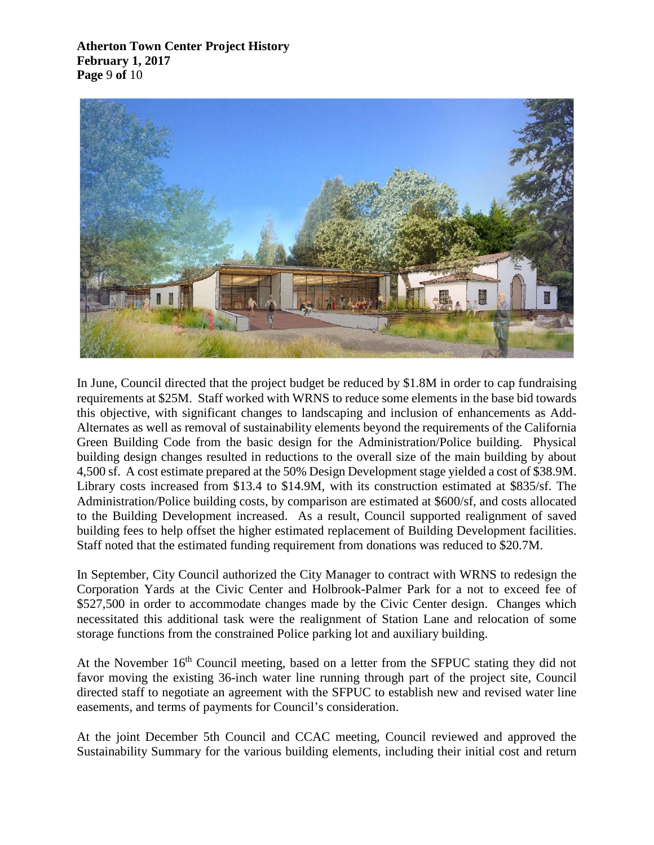**Atherton Town Center Project History February 1, 2017 Page** 9 **of** 10



In June, Council directed that the project budget be reduced by \$1.8M in order to cap fundraising requirements at \$25M. Staff worked with WRNS to reduce some elements in the base bid towards this objective, with significant changes to landscaping and inclusion of enhancements as Add-Alternates as well as removal of sustainability elements beyond the requirements of the California Green Building Code from the basic design for the Administration/Police building. Physical building design changes resulted in reductions to the overall size of the main building by about 4,500 sf. A cost estimate prepared at the 50% Design Development stage yielded a cost of \$38.9M. Library costs increased from \$13.4 to \$14.9M, with its construction estimated at \$835/sf. The Administration/Police building costs, by comparison are estimated at \$600/sf, and costs allocated to the Building Development increased. As a result, Council supported realignment of saved building fees to help offset the higher estimated replacement of Building Development facilities. Staff noted that the estimated funding requirement from donations was reduced to \$20.7M.

In September, City Council authorized the City Manager to contract with WRNS to redesign the Corporation Yards at the Civic Center and Holbrook-Palmer Park for a not to exceed fee of \$527,500 in order to accommodate changes made by the Civic Center design. Changes which necessitated this additional task were the realignment of Station Lane and relocation of some storage functions from the constrained Police parking lot and auxiliary building.

At the November 16<sup>th</sup> Council meeting, based on a letter from the SFPUC stating they did not favor moving the existing 36-inch water line running through part of the project site, Council directed staff to negotiate an agreement with the SFPUC to establish new and revised water line easements, and terms of payments for Council's consideration.

At the joint December 5th Council and CCAC meeting, Council reviewed and approved the Sustainability Summary for the various building elements, including their initial cost and return